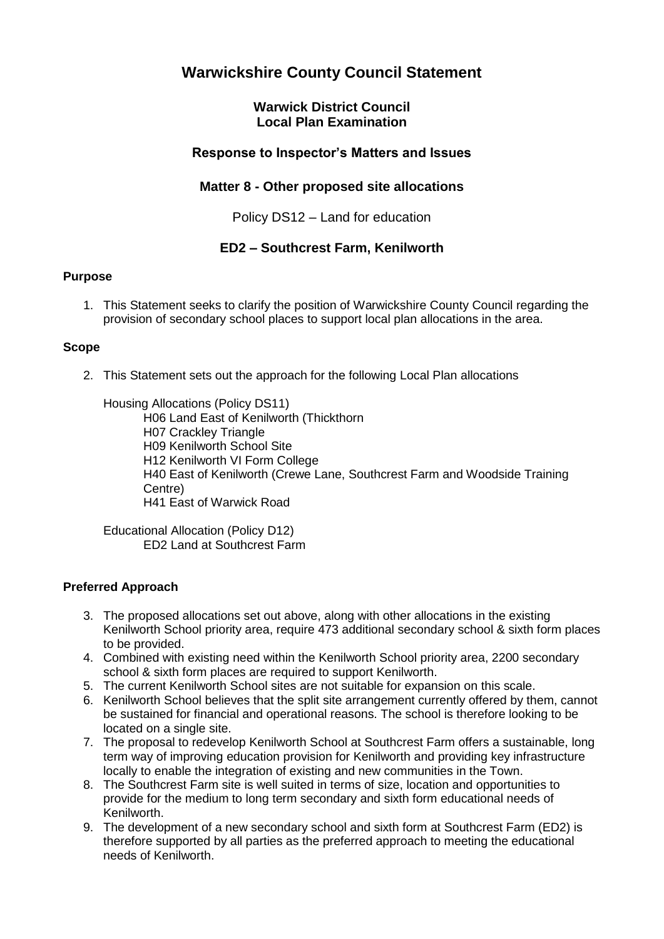# **Warwickshire County Council Statement**

## **Warwick District Council Local Plan Examination**

## **Response to Inspector's Matters and Issues**

## **Matter 8 - Other proposed site allocations**

Policy DS12 – Land for education

## **ED2 – Southcrest Farm, Kenilworth**

### **Purpose**

1. This Statement seeks to clarify the position of Warwickshire County Council regarding the provision of secondary school places to support local plan allocations in the area.

### **Scope**

2. This Statement sets out the approach for the following Local Plan allocations

Housing Allocations (Policy DS11)

H06 Land East of Kenilworth (Thickthorn H07 Crackley Triangle H09 Kenilworth School Site H12 Kenilworth VI Form College H40 East of Kenilworth (Crewe Lane, Southcrest Farm and Woodside Training Centre) H41 East of Warwick Road

Educational Allocation (Policy D12) ED2 Land at Southcrest Farm

## **Preferred Approach**

- 3. The proposed allocations set out above, along with other allocations in the existing Kenilworth School priority area, require 473 additional secondary school & sixth form places to be provided.
- 4. Combined with existing need within the Kenilworth School priority area, 2200 secondary school & sixth form places are required to support Kenilworth.
- 5. The current Kenilworth School sites are not suitable for expansion on this scale.
- 6. Kenilworth School believes that the split site arrangement currently offered by them, cannot be sustained for financial and operational reasons. The school is therefore looking to be located on a single site.
- 7. The proposal to redevelop Kenilworth School at Southcrest Farm offers a sustainable, long term way of improving education provision for Kenilworth and providing key infrastructure locally to enable the integration of existing and new communities in the Town.
- 8. The Southcrest Farm site is well suited in terms of size, location and opportunities to provide for the medium to long term secondary and sixth form educational needs of Kenilworth.
- 9. The development of a new secondary school and sixth form at Southcrest Farm (ED2) is therefore supported by all parties as the preferred approach to meeting the educational needs of Kenilworth.